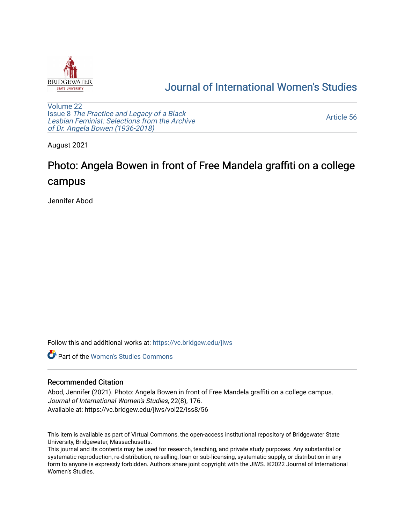

## [Journal of International Women's Studies](https://vc.bridgew.edu/jiws)

[Volume 22](https://vc.bridgew.edu/jiws/vol22) Issue 8 [The Practice and Legacy of a Black](https://vc.bridgew.edu/jiws/vol22/iss8)  [Lesbian Feminist: Selections from the Archive](https://vc.bridgew.edu/jiws/vol22/iss8)  [of Dr. Angela Bowen \(1936-2018\)](https://vc.bridgew.edu/jiws/vol22/iss8)

[Article 56](https://vc.bridgew.edu/jiws/vol22/iss8/56) 

August 2021

## Photo: Angela Bowen in front of Free Mandela graffiti on a college campus

Jennifer Abod

Follow this and additional works at: [https://vc.bridgew.edu/jiws](https://vc.bridgew.edu/jiws?utm_source=vc.bridgew.edu%2Fjiws%2Fvol22%2Fiss8%2F56&utm_medium=PDF&utm_campaign=PDFCoverPages)

**C** Part of the Women's Studies Commons

## Recommended Citation

Abod, Jennifer (2021). Photo: Angela Bowen in front of Free Mandela graffiti on a college campus. Journal of International Women's Studies, 22(8), 176. Available at: https://vc.bridgew.edu/jiws/vol22/iss8/56

This item is available as part of Virtual Commons, the open-access institutional repository of Bridgewater State University, Bridgewater, Massachusetts.

This journal and its contents may be used for research, teaching, and private study purposes. Any substantial or systematic reproduction, re-distribution, re-selling, loan or sub-licensing, systematic supply, or distribution in any form to anyone is expressly forbidden. Authors share joint copyright with the JIWS. ©2022 Journal of International Women's Studies.